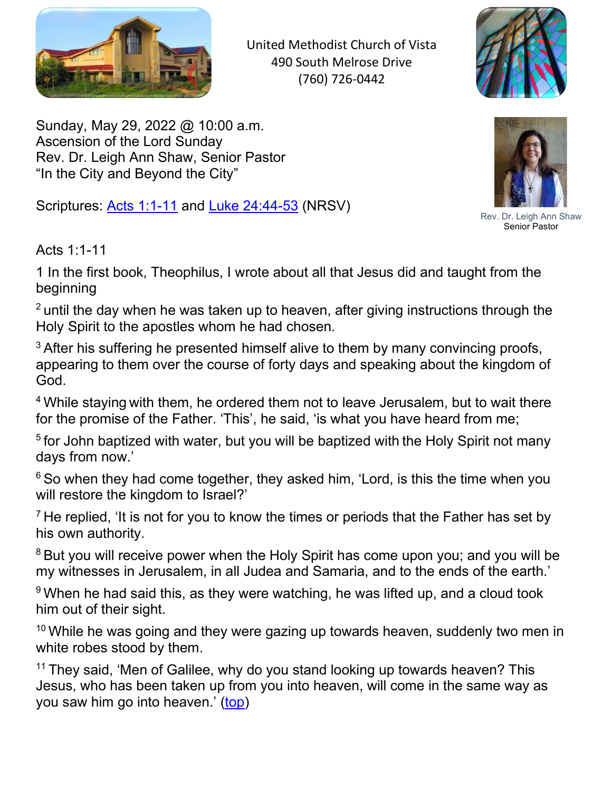

United Methodist Church of Vista 490 South Melrose Drive (760) 726-0442



<span id="page-0-0"></span>Sunday, May 29, 2022 @ 10:00 a.m. Ascension of the Lord Sunday Rev. Dr. Leigh Ann Shaw, Senior Pastor "In the City and Beyond the City"

Scriptures: Acts 1:1-11 and Luke 24:44-53 (NRSV)



Rev. Dr. Leigh Ann Shaw Senior Pastor

Acts 1:1-11

1 In the first book, Theophilus, I wrote about all that Jesus did and taught from the beginning

 $2$  until the day when he was taken up to heaven, after giving instructions through the Holy Spirit to the apostles whom he had chosen.

 $3$  After his suffering he presented himself alive to them by many convincing proofs, appearing to them over the course of forty days and speaking about the kingdom of God.

<sup>4</sup> While staying with them, he ordered them not to leave Jerusalem, but to wait there for the promise of the Father. 'This', he said, 'is what you have heard from me;

<sup>5</sup> for John baptized with water, but you will be baptized with the Holy Spirit not many days from now.'

 $6$  So when they had come together, they asked him, 'Lord, is this the time when you will restore the kingdom to Israel?'

 $<sup>7</sup>$  He replied, 'It is not for you to know the times or periods that the Father has set by</sup> his own authority.

<sup>8</sup> But you will receive power when the Holy Spirit has come upon you; and you will be my witnesses in Jerusalem, in all Judea and Samaria, and to the ends of the earth.'

 $9$  When he had said this, as they were watching, he was lifted up, and a cloud took him out of their sight.

 $10$  While he was going and they were gazing up towards heaven, suddenly two men in white robes stood by them.

 $11$  They said, 'Men of Galilee, why do you stand looking up towards heaven? This Jesus, who has been taken up from you into heaven, will come in the same way as you saw him go into heaven.' (top)